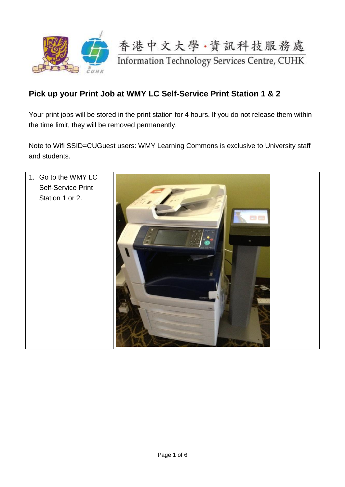

## **Pick up your Print Job at WMY LC Self-Service Print Station 1 & 2**

Your print jobs will be stored in the print station for 4 hours. If you do not release them within the time limit, they will be removed permanently.

Note to Wifi SSID=CUGuest users: WMY Learning Commons is exclusive to University staff and students.

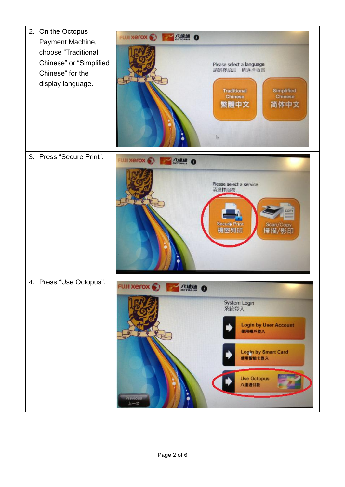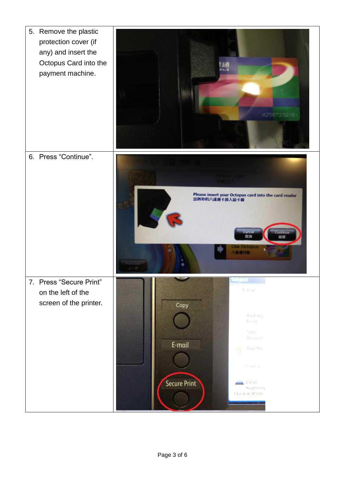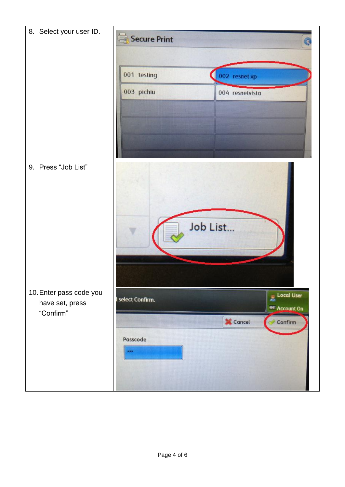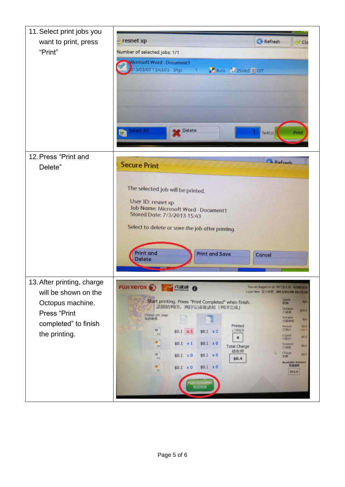